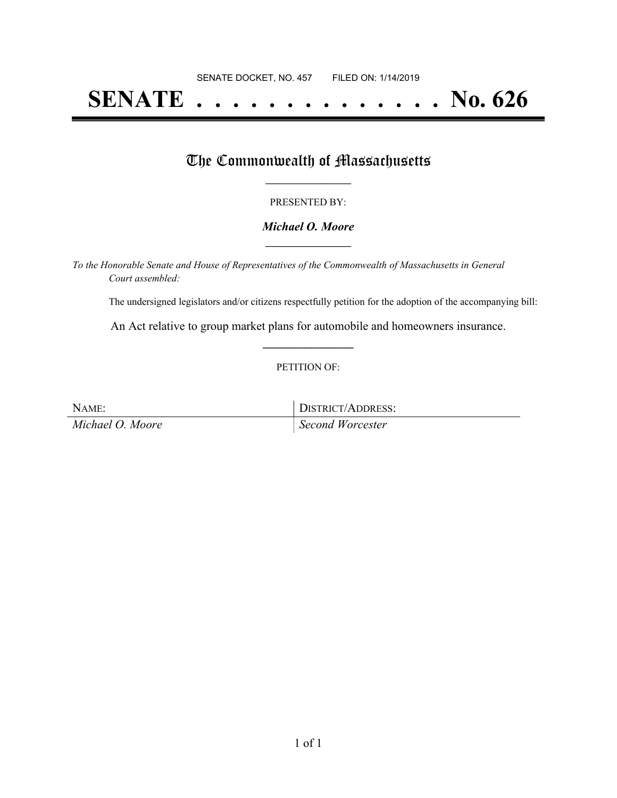# **SENATE . . . . . . . . . . . . . . No. 626**

## The Commonwealth of Massachusetts

#### PRESENTED BY:

#### *Michael O. Moore* **\_\_\_\_\_\_\_\_\_\_\_\_\_\_\_\_\_**

*To the Honorable Senate and House of Representatives of the Commonwealth of Massachusetts in General Court assembled:*

The undersigned legislators and/or citizens respectfully petition for the adoption of the accompanying bill:

An Act relative to group market plans for automobile and homeowners insurance. **\_\_\_\_\_\_\_\_\_\_\_\_\_\_\_**

#### PETITION OF:

NAME: DISTRICT/ADDRESS: *Michael O. Moore Second Worcester*